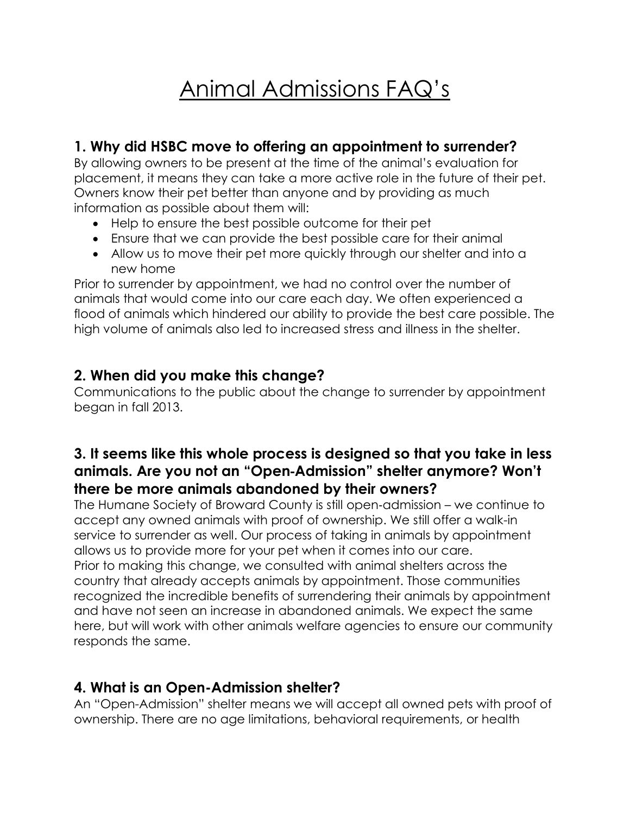# Animal Admissions FAQ's

## **1. Why did HSBC move to offering an appointment to surrender?**

By allowing owners to be present at the time of the animal's evaluation for placement, it means they can take a more active role in the future of their pet. Owners know their pet better than anyone and by providing as much information as possible about them will:

- Help to ensure the best possible outcome for their pet
- Ensure that we can provide the best possible care for their animal
- Allow us to move their pet more quickly through our shelter and into a new home

Prior to surrender by appointment, we had no control over the number of animals that would come into our care each day. We often experienced a flood of animals which hindered our ability to provide the best care possible. The high volume of animals also led to increased stress and illness in the shelter.

#### **2. When did you make this change?**

Communications to the public about the change to surrender by appointment began in fall 2013.

## **3. It seems like this whole process is designed so that you take in less animals. Are you not an "Open**‐**Admission" shelter anymore? Won't there be more animals abandoned by their owners?**

The Humane Society of Broward County is still open‐admission – we continue to accept any owned animals with proof of ownership. We still offer a walk-in service to surrender as well. Our process of taking in animals by appointment allows us to provide more for your pet when it comes into our care. Prior to making this change, we consulted with animal shelters across the country that already accepts animals by appointment. Those communities recognized the incredible benefits of surrendering their animals by appointment and have not seen an increase in abandoned animals. We expect the same here, but will work with other animals welfare agencies to ensure our community responds the same.

#### **4. What is an Open-Admission shelter?**

An "Open-Admission" shelter means we will accept all owned pets with proof of ownership. There are no age limitations, behavioral requirements, or health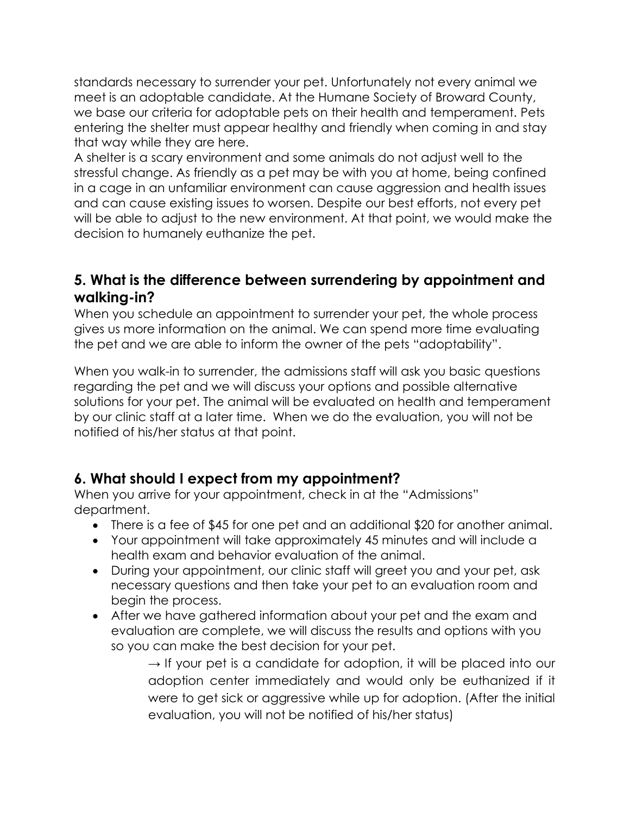standards necessary to surrender your pet. Unfortunately not every animal we meet is an adoptable candidate. At the Humane Society of Broward County, we base our criteria for adoptable pets on their health and temperament. Pets entering the shelter must appear healthy and friendly when coming in and stay that way while they are here.

A shelter is a scary environment and some animals do not adjust well to the stressful change. As friendly as a pet may be with you at home, being confined in a cage in an unfamiliar environment can cause aggression and health issues and can cause existing issues to worsen. Despite our best efforts, not every pet will be able to adjust to the new environment. At that point, we would make the decision to humanely euthanize the pet.

#### **5. What is the difference between surrendering by appointment and walking-in?**

When you schedule an appointment to surrender your pet, the whole process gives us more information on the animal. We can spend more time evaluating the pet and we are able to inform the owner of the pets "adoptability".

When you walk-in to surrender, the admissions staff will ask you basic questions regarding the pet and we will discuss your options and possible alternative solutions for your pet. The animal will be evaluated on health and temperament by our clinic staff at a later time. When we do the evaluation, you will not be notified of his/her status at that point.

#### **6. What should I expect from my appointment?**

When you arrive for your appointment, check in at the "Admissions" department.

- There is a fee of \$45 for one pet and an additional \$20 for another animal.
- Your appointment will take approximately 45 minutes and will include a health exam and behavior evaluation of the animal.
- During your appointment, our clinic staff will greet you and your pet, ask necessary questions and then take your pet to an evaluation room and begin the process.
- After we have gathered information about your pet and the exam and evaluation are complete, we will discuss the results and options with you so you can make the best decision for your pet.
	- $\rightarrow$  If your pet is a candidate for adoption, it will be placed into our adoption center immediately and would only be euthanized if it were to get sick or aggressive while up for adoption. (After the initial evaluation, you will not be notified of his/her status)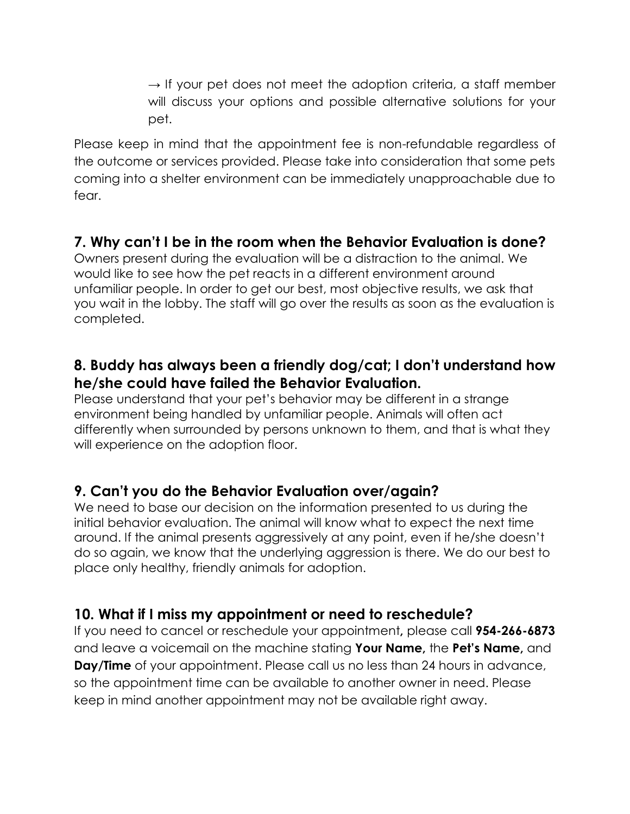$\rightarrow$  If your pet does not meet the adoption criteria, a staff member will discuss your options and possible alternative solutions for your pet.

Please keep in mind that the appointment fee is non-refundable regardless of the outcome or services provided. Please take into consideration that some pets coming into a shelter environment can be immediately unapproachable due to fear.

#### **7. Why can't I be in the room when the Behavior Evaluation is done?**

Owners present during the evaluation will be a distraction to the animal. We would like to see how the pet reacts in a different environment around unfamiliar people. In order to get our best, most objective results, we ask that you wait in the lobby. The staff will go over the results as soon as the evaluation is completed.

#### **8. Buddy has always been a friendly dog/cat; I don't understand how he/she could have failed the Behavior Evaluation.**

Please understand that your pet's behavior may be different in a strange environment being handled by unfamiliar people. Animals will often act differently when surrounded by persons unknown to them, and that is what they will experience on the adoption floor.

#### **9. Can't you do the Behavior Evaluation over/again?**

We need to base our decision on the information presented to us during the initial behavior evaluation. The animal will know what to expect the next time around. If the animal presents aggressively at any point, even if he/she doesn't do so again, we know that the underlying aggression is there. We do our best to place only healthy, friendly animals for adoption.

#### **10. What if I miss my appointment or need to reschedule?**

If you need to cancel or reschedule your appointment**,** please call **954-266-6873** and leave a voicemail on the machine stating **Your Name,** the **Pet's Name,** and **Day/Time** of your appointment. Please call us no less than 24 hours in advance, so the appointment time can be available to another owner in need. Please keep in mind another appointment may not be available right away.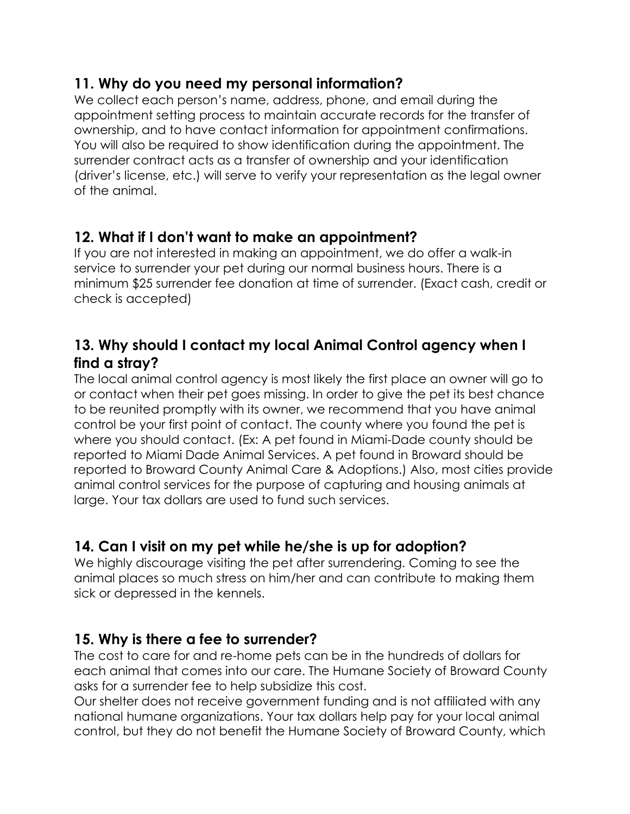## **11. Why do you need my personal information?**

We collect each person's name, address, phone, and email during the appointment setting process to maintain accurate records for the transfer of ownership, and to have contact information for appointment confirmations. You will also be required to show identification during the appointment. The surrender contract acts as a transfer of ownership and your identification (driver's license, etc.) will serve to verify your representation as the legal owner of the animal.

## **12. What if I don't want to make an appointment?**

If you are not interested in making an appointment, we do offer a walk-in service to surrender your pet during our normal business hours. There is a minimum \$25 surrender fee donation at time of surrender. (Exact cash, credit or check is accepted)

## **13. Why should I contact my local Animal Control agency when I find a stray?**

The local animal control agency is most likely the first place an owner will go to or contact when their pet goes missing. In order to give the pet its best chance to be reunited promptly with its owner, we recommend that you have animal control be your first point of contact. The county where you found the pet is where you should contact. (Ex: A pet found in Miami-Dade county should be reported to Miami Dade Animal Services. A pet found in Broward should be reported to Broward County Animal Care & Adoptions.) Also, most cities provide animal control services for the purpose of capturing and housing animals at large. Your tax dollars are used to fund such services.

## **14. Can I visit on my pet while he/she is up for adoption?**

We highly discourage visiting the pet after surrendering. Coming to see the animal places so much stress on him/her and can contribute to making them sick or depressed in the kennels.

## **15. Why is there a fee to surrender?**

The cost to care for and re-home pets can be in the hundreds of dollars for each animal that comes into our care. The Humane Society of Broward County asks for a surrender fee to help subsidize this cost.

Our shelter does not receive government funding and is not affiliated with any national humane organizations. Your tax dollars help pay for your local animal control, but they do not benefit the Humane Society of Broward County, which